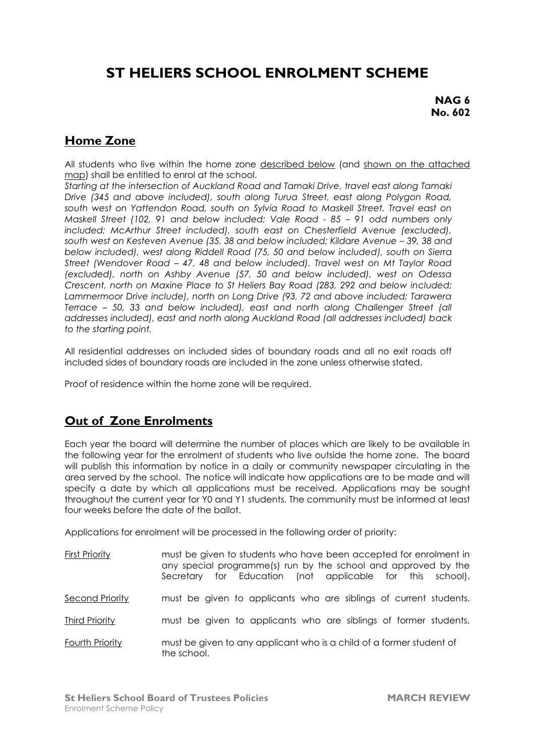## **ST HELIERS SCHOOL ENROLMENT SCHEME**

**NAG 6 No. 602**

## **Home Zone**

All students who live within the home zone described below (and shown on the attached map) shall be entitled to enrol at the school.

*Starting at the intersection of Auckland Road and Tamaki Drive, travel east along Tamaki Drive (345 and above included), south along Turua Street, east along Polygon Road, south west on Yattendon Road, south on Sylvia Road to Maskell Street. Travel east on Maskell Street (102, 91 and below included; Vale Road - 85 – 91 odd numbers only included; McArthur Street included), south east on Chesterfield Avenue (excluded),*  south west on Kesteven Avenue (35, 38 and below included; Kildare Avenue - 39, 38 and *below included), west along Riddell Road (75, 50 and below included), south on Sierra Street (Wendover Road – 47, 48 and below included). Travel west on Mt Taylor Road (excluded), north on Ashby Avenue (57, 50 and below included), west on Odessa Crescent, north on Maxine Place to St Heliers Bay Road (283, 292 and below included; Lammermoor Drive include), north on Long Drive (93, 72 and above included; Tarawera Terrace – 50, 33 and below included), east and north along Challenger Street (all addresses included), east and north along Auckland Road (all addresses included) back to the starting point.*

All residential addresses on included sides of boundary roads and all no exit roads off included sides of boundary roads are included in the zone unless otherwise stated.

Proof of residence within the home zone will be required.

## **Out of Zone Enrolments**

Each year the board will determine the number of places which are likely to be available in the following year for the enrolment of students who live outside the home zone. The board will publish this information by notice in a daily or community newspaper circulating in the area served by the school. The notice will indicate how applications are to be made and will specify a date by which all applications must be received. Applications may be sought throughout the current year for Y0 and Y1 students. The community must be informed at least four weeks before the date of the ballot.

Applications for enrolment will be processed in the following order of priority:

| First Priority  | must be given to students who have been accepted for enrolment in<br>any special programme(s) run by the school and approved by the<br>Secretary for Education (not applicable for this school). |
|-----------------|--------------------------------------------------------------------------------------------------------------------------------------------------------------------------------------------------|
| Second Priority | must be given to applicants who are siblings of current students.                                                                                                                                |
| Third Priority  | must be given to applicants who are siblings of former students.                                                                                                                                 |
| Fourth Priority | must be given to any applicant who is a child of a former student of<br>the school.                                                                                                              |